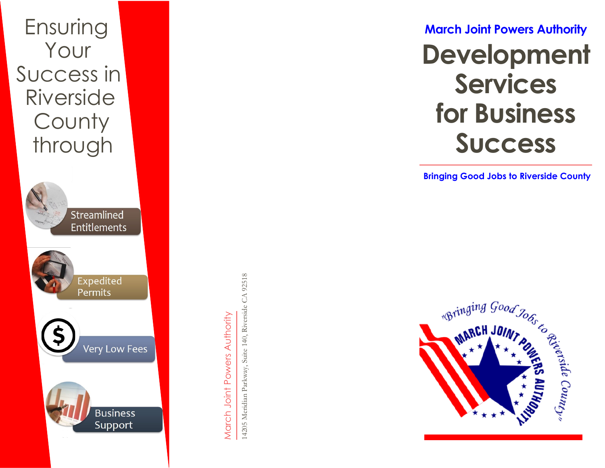

March Joint Powers Authority March Joint Powers Authority

**March Joint Powers Authority Development Services for Business Success** 

**Bringing Good Jobs to Riverside County**